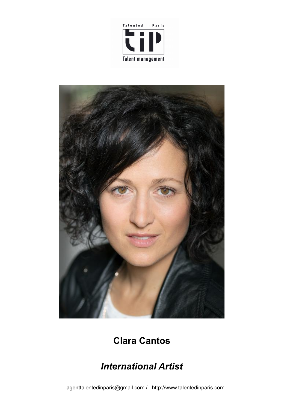



# **Clara Cantos**

# *International Artist*

agenttalentedinparis@gmail.com / http://www.talentedinparis.com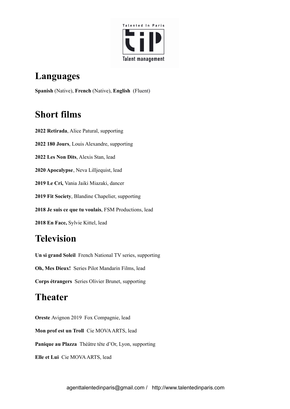

## **Languages**

**Spanish** (Native), **French** (Native), **English** (Fluent)

## **Short films**

 **Retirada**, Alice Patural, supporting **180 Jours**, Louis Alexandre, supporting **Les Non Dits**, Alexis Stan, lead **Apocalypse**, Neva Lilljequist, lead **Le Cri,** Vania Jaiki Miazaki, dancer **Fit Society**, Blandine Chapelier, supporting **Je suis ce que tu voulais**, FSM Productions, lead **En Face,** Sylvie Kittel, lead

## **Television**

**Un si grand Soleil** French National TV series, supporting **Oh, Mes Dieux!** Series Pilot Mandarin Films, lead **Corps étrangers** Series Olivier Brunet, supporting

## **Theater**

**Oreste** Avignon 2019 Fox Compagnie, lead **Mon prof est un Troll** Cie MOVAARTS, lead **Panique au Plazza** Théâtre tête d'Or, Lyon, supporting **Elle et Lui** Cie MOVAARTS, lead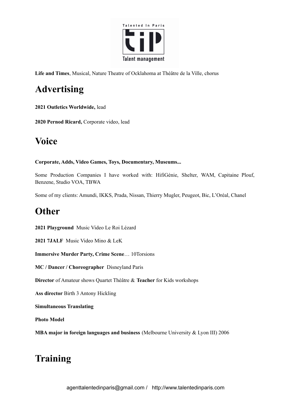

**Life and Times**, Musical, Nature Theatre of Ocklahoma at Théâtre de la Ville, chorus

# **Advertising**

**2021 Outletics Worldwide,** lead

**2020 Pernod Ricard,** Corporate video, lead

#### **Voice**

#### **Corporate, Adds, Video Games, Toys, Documentary, Museums...**

Some Production Companies I have worked with: HifiGénie, Shelter, WAM, Capitaine Plouf, Benzene, Studio VOA, TBWA

Some of my clients: Amundi, IKKS, Prada, Nissan, Thierry Mugler, Peugeot, Bic, L'Oréal, Chanel

#### **Other**

**2021 Playground** Music Video Le Roi Lézard

**2021 7JALF** Music Video Mino & LeK

**Immersive Murder Party, Crime Scene**… 10Torsions

**MC / Dancer / Choreographer** Disneyland Paris

**Director** of Amateur shows Quartet Théâtre & **Teacher** for Kids workshops

**Ass director** Birth 3 Antony Hickling

**Simultaneous Translating**

**Photo Model**

**MBA major in foreign languages and business** (Melbourne University & Lyon III) 2006

#### **Training**